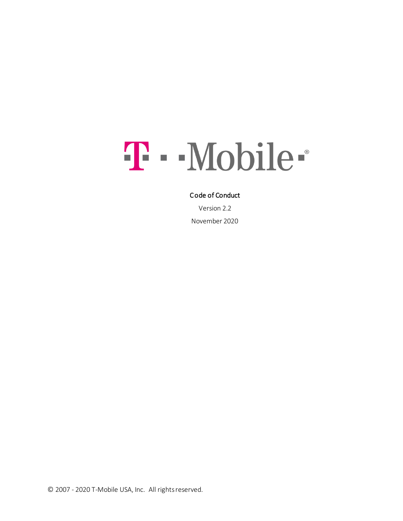# T - Mobile-

#### Code of Conduct

Version 2.2 November 2020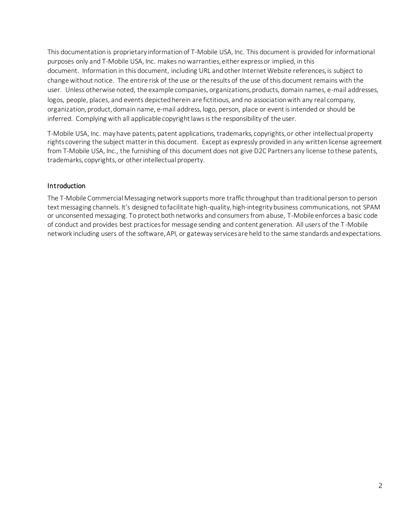This documentation is proprietary information of T-Mobile USA, Inc. This document is provided for informational purposes only and T-Mobile USA, Inc. makes no warranties, either express or implied, in this document. Information in this document, including URL and other Internet Website references, is subject to change without notice. The entire risk of the use or the results of the use of this document remains with the user. Unless otherwise noted, the example companies, organizations, products, domain names, e-mail addresses, logos, people, places, and events depicted herein are fictitious, and no association with any real company, organization, product, domain name, e-mail address, logo, person, place or event is intended or should be inferred. Complying with all applicable copyright laws is the responsibility of the user.

T-Mobile USA, Inc. may have patents, patent applications, trademarks, copyrights, or other intellectual property rights covering the subject matter in this document. Except as expressly provided in any written license agreement from T-Mobile USA, Inc., the furnishing of this document does not give D2C Partners any license to these patents, trademarks, copyrights, or other intellectual property.

### **Introduction**

The T-Mobile Commercial Messaging network supports more traffic throughput than traditional person to person text messaging channels. It's designed to facilitate high-quality, high-integrity business communications, not SPAM or unconsented messaging. To protect both networks and consumers from abuse, T-Mobile enforces a basic code of conduct and provides best practices for message sending and content generation. All users of the T-Mobile network including users of the software, API, or gateway services are held to the same standards and expectations.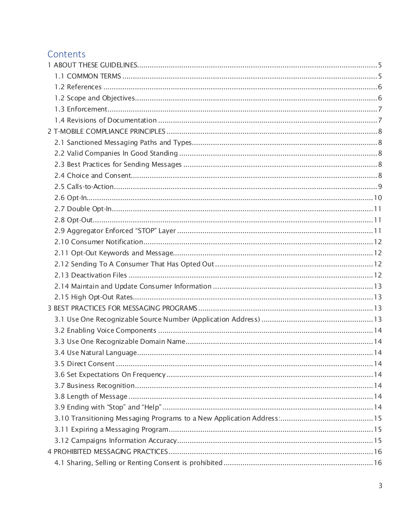# Contents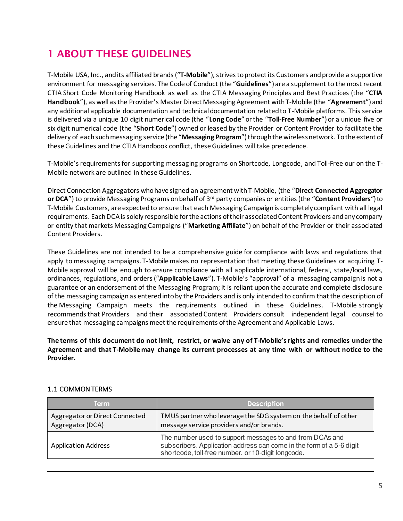# <span id="page-4-0"></span>1 ABOUT THESE GUIDELINES

T-Mobile USA, Inc., and its affiliated brands ("**T-Mobile**"), strives to protect its Customers and provide a supportive environment for messaging services. The Code of Conduct (the "**Guidelines**") are a supplement to the most recent CTIA Short Code Monitoring Handbook as well as the CTIA Messaging Principles and Best Practices (the "**CTIA Handbook**"), as well as the Provider's Master Direct Messaging Agreement with T-Mobile (the "**Agreement**") and any additional applicable documentation and technical documentation related to T-Mobile platforms. This service is delivered via a unique 10 digit numerical code (the "**Long Code**" or the "**Toll-Free Number**") or a unique five or six digit numerical code (the "**Short Code**") owned or leased by the Provider or Content Provider to facilitate the delivery of each such messaging service (the "**Messaging Program**") through the wireless network. To the extent of these Guidelines and the CTIA Handbook conflict, these Guidelines will take precedence.

T-Mobile's requirements for supporting messaging programs on Shortcode, Longcode, and Toll-Free our on the T-Mobile network are outlined in these Guidelines.

Direct Connection Aggregators who have signed an agreement with T-Mobile, (the "**Direct Connected Aggregator or DCA**") to provide Messaging Programs on behalf of 3rd party companies or entities (the "**Content Providers**") to T-Mobile Customers, are expected to ensure that each Messaging Campaign is completely compliant with all legal requirements. Each DCA is solely responsible for the actions of their associated Content Providers and any company or entity that markets Messaging Campaigns ("**Marketing Affiliate**") on behalf of the Provider or their associated Content Providers.

These Guidelines are not intended to be a comprehensive guide for compliance with laws and regulations that apply to messaging campaigns. T-Mobile makes no representation that meeting these Guidelines or acquiring T-Mobile approval will be enough to ensure compliance with all applicable international, federal, state/local laws, ordinances, regulations, and orders ("**Applicable Laws**"). T-Mobile's "approval" of a messaging campaign is not a guarantee or an endorsement of the Messaging Program; it is reliant upon the accurate and complete disclosure of the messaging campaign as entered into by the Providers and is only intended to confirm that the description of the Messaging Campaign meets the requirements outlined in these Guidelines. T-Mobile strongly recommends that Providers and their associated Content Providers consult independent legal counsel to ensure that messaging campaigns meet the requirements of the Agreement and Applicable Laws.

**The terms of this document do not limit, restrict, or waive any of T-Mobile's rights and remedies under the Agreement and that T-Mobile may change its current processes at any time with or without notice to the Provider.**

#### <span id="page-4-1"></span>1.1 COMMON TERMS

| Term                                               | <b>Description</b>                                                                                                                                                                     |
|----------------------------------------------------|----------------------------------------------------------------------------------------------------------------------------------------------------------------------------------------|
| Aggregator or Direct Connected<br>Aggregator (DCA) | TMUS partner who leverage the SDG system on the behalf of other<br>message service providers and/or brands.                                                                            |
| <b>Application Address</b>                         | The number used to support messages to and from DCAs and<br>subscribers. Application address can come in the form of a 5-6 digit<br>shortcode, toll-free number, or 10-digit longcode. |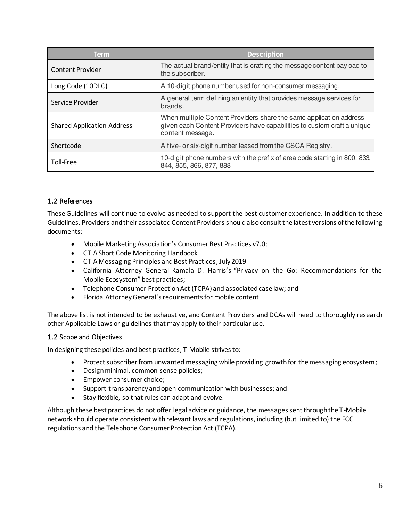| <b>Term</b>                       | <b>Description</b>                                                                                                                                                |
|-----------------------------------|-------------------------------------------------------------------------------------------------------------------------------------------------------------------|
| Content Provider                  | The actual brand/entity that is crafting the message content payload to<br>the subscriber.                                                                        |
| Long Code (10DLC)                 | A 10-digit phone number used for non-consumer messaging.                                                                                                          |
| Service Provider                  | A general term defining an entity that provides message services for<br>brands.                                                                                   |
| <b>Shared Application Address</b> | When multiple Content Providers share the same application address<br>given each Content Providers have capabilities to custom craft a unique<br>content message. |
| Shortcode                         | A five- or six-digit number leased from the CSCA Registry.                                                                                                        |
| Toll-Free                         | 10-digit phone numbers with the prefix of area code starting in 800, 833,<br>844, 855, 866, 877, 888                                                              |

# <span id="page-5-0"></span>1.2 References

These Guidelines will continue to evolve as needed to support the best customer experience. In addition to these Guidelines, Providers and their associated Content Providers should also consult the latest versions of the following documents:

- Mobile Marketing Association's Consumer Best Practices v7.0;
- CTIA Short Code Monitoring Handbook
- CTIA Messaging Principles and Best Practices, July 2019
- California Attorney General Kamala D. Harris's "Privacy on the Go: Recommendations for the Mobile Ecosystem" best practices;
- Telephone Consumer Protection Act (TCPA) and associated case law; and
- Florida Attorney General's requirements for mobile content.

The above list is not intended to be exhaustive, and Content Providers and DCAs will need to thoroughly research other Applicable Laws or guidelines that may apply to their particular use.

# <span id="page-5-1"></span>1.2 Scope and Objectives

In designing these policies and best practices, T-Mobile strives to:

- Protect subscriber from unwanted messaging while providing growth for the messaging ecosystem;
- Design minimal, common-sense policies;
- Empower consumer choice;
- Support transparency and open communication with businesses; and
- Stay flexible, so that rules can adapt and evolve.

Although these best practices do not offer legal advice or guidance, the messages sent through the T-Mobile network should operate consistent with relevant laws and regulations, including (but limited to) the FCC regulations and the Telephone Consumer Protection Act (TCPA).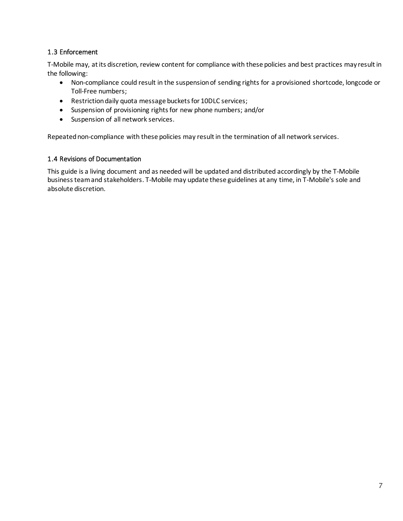## <span id="page-6-0"></span>1.3 Enforcement

T-Mobile may, at its discretion, review content for compliance with these policies and best practices may result in the following:

- Non-compliance could result in the suspension of sending rights for a provisioned shortcode, longcode or Toll-Free numbers;
- Restriction daily quota message buckets for 10DLC services;
- Suspension of provisioning rights for new phone numbers; and/or
- Suspension of all network services.

Repeated non-compliance with these policies may result in the termination of all network services.

#### <span id="page-6-1"></span>1.4 Revisions of Documentation

This guide is a living document and as needed will be updated and distributed accordingly by the T-Mobile business team and stakeholders. T-Mobile may update these guidelines at any time, in T-Mobile's sole and absolute discretion.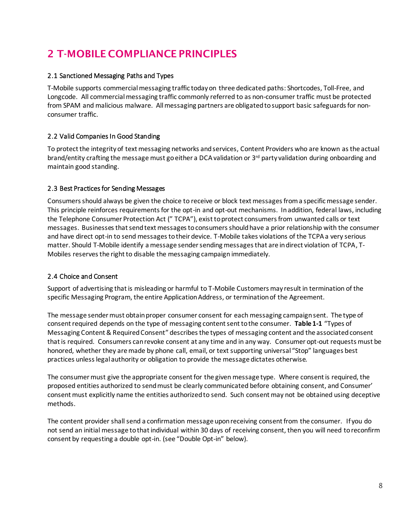# <span id="page-7-0"></span>2 T-MOBILE COMPLIANCE PRINCIPLES

## <span id="page-7-1"></span>2.1 Sanctioned Messaging Paths and Types

T-Mobile supports commercial messaging traffic today on three dedicated paths: Shortcodes, Toll-Free, and Longcode. All commercial messaging traffic commonly referred to as non-consumer traffic must be protected from SPAM and malicious malware. All messaging partners are obligated to support basic safeguards for nonconsumer traffic.

# <span id="page-7-2"></span>2.2 Valid Companies In Good Standing

To protect the integrity of text messaging networks and services, Content Providers who are known as the actual brand/entity crafting the message must go either a DCA validation or 3rd party validation during onboarding and maintain good standing.

### <span id="page-7-3"></span>2.3 Best Practices for Sending Messages

Consumers should always be given the choice to receive or block text messages from a specific message sender. This principle reinforces requirements for the opt-in and opt-out mechanisms. In addition, federal laws, including the Telephone Consumer Protection Act (" TCPA"), exist to protect consumers from unwanted calls or text messages. Businesses that send text messages to consumers should have a prior relationship with the consumer and have direct opt-in to send messages to their device. T-Mobile takes violations of the TCPA a very serious matter. Should T-Mobile identify a message sender sending messages that are in direct violation of TCPA, T-Mobiles reserves the right to disable the messaging campaign immediately.

# <span id="page-7-4"></span>2.4 Choice and Consent

Support of advertising that is misleading or harmful to T-Mobile Customers may result in termination of the specific Messaging Program, the entire Application Address, or termination of the Agreement.

The message sender must obtain proper consumer consent for each messaging campaign sent. The type of consent required depends on the type of messaging content sent to the consumer. **Table 1-1** "Types of Messaging Content & Required Consent" describes the types of messaging content and the associated consent that is required. Consumers can revoke consent at any time and in any way. Consumer opt-out requests must be honored, whether they are made by phone call, email, or text supporting universal "Stop" languages best practices unless legal authority or obligation to provide the message dictates otherwise.

The consumer must give the appropriate consent for the given message type. Where consent is required, the proposed entities authorized to send must be clearly communicated before obtaining consent, and Consumer' consent must explicitly name the entities authorized to send. Such consent may not be obtained using deceptive methods.

The content provider shall send a confirmation message upon receiving consent from the consumer. If you do not send an initial message to that individual within 30 days of receiving consent, then you will need to reconfirm consent by requesting a double opt-in. (see "Double Opt-in" below).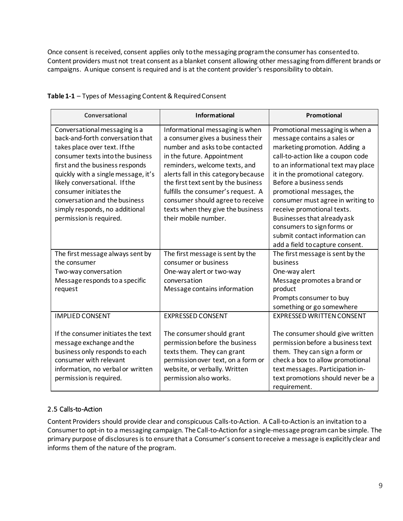Once consent is received, consent applies only to the messaging program the consumer has consented to. Content providers must not treat consent as a blanket consent allowing other messaging from different brands or campaigns. A unique consent is required and is at the content provider's responsibility to obtain.

| Conversational                                                                                                                                                                                                                                                                                                                                                            | <b>Informational</b>                                                                                                                                                                                                                                                                                                                                                                         | Promotional                                                                                                                                                                                                                                                                                                                                                                                                                                                                |
|---------------------------------------------------------------------------------------------------------------------------------------------------------------------------------------------------------------------------------------------------------------------------------------------------------------------------------------------------------------------------|----------------------------------------------------------------------------------------------------------------------------------------------------------------------------------------------------------------------------------------------------------------------------------------------------------------------------------------------------------------------------------------------|----------------------------------------------------------------------------------------------------------------------------------------------------------------------------------------------------------------------------------------------------------------------------------------------------------------------------------------------------------------------------------------------------------------------------------------------------------------------------|
| Conversational messaging is a<br>back-and-forth conversation that<br>takes place over text. If the<br>consumer texts into the business<br>first and the business responds<br>quickly with a single message, it's<br>likely conversational. If the<br>consumer initiates the<br>conversation and the business<br>simply responds, no additional<br>permission is required. | Informational messaging is when<br>a consumer gives a business their<br>number and asks to be contacted<br>in the future. Appointment<br>reminders, welcome texts, and<br>alerts fall in this category because<br>the first text sent by the business<br>fulfills the consumer's request. A<br>consumer should agree to receive<br>texts when they give the business<br>their mobile number. | Promotional messaging is when a<br>message contains a sales or<br>marketing promotion. Adding a<br>call-to-action like a coupon code<br>to an informational text may place<br>it in the promotional category.<br>Before a business sends<br>promotional messages, the<br>consumer must agree in writing to<br>receive promotional texts.<br>Businesses that already ask<br>consumers to sign forms or<br>submit contact information can<br>add a field to capture consent. |
| The first message always sent by<br>the consumer<br>Two-way conversation<br>Message responds to a specific<br>request                                                                                                                                                                                                                                                     | The first message is sent by the<br>consumer or business<br>One-way alert or two-way<br>conversation<br>Message contains information                                                                                                                                                                                                                                                         | The first message is sent by the<br>business<br>One-way alert<br>Message promotes a brand or<br>product<br>Prompts consumer to buy<br>something or go somewhere                                                                                                                                                                                                                                                                                                            |
| <b>IMPLIED CONSENT</b><br>If the consumer initiates the text<br>message exchange and the<br>business only responds to each<br>consumer with relevant<br>information, no verbal or written<br>permission is required.                                                                                                                                                      | <b>EXPRESSED CONSENT</b><br>The consumer should grant<br>permission before the business<br>texts them. They can grant<br>permission over text, on a form or<br>website, or verbally. Written<br>permission also works.                                                                                                                                                                       | <b>EXPRESSED WRITTEN CONSENT</b><br>The consumer should give written<br>permission before a business text<br>them. They can sign a form or<br>check a box to allow promotional<br>text messages. Participation in-<br>text promotions should never be a<br>requirement.                                                                                                                                                                                                    |

## **Table 1-1** – Types of Messaging Content & Required Consent

# <span id="page-8-0"></span>2.5 Calls-to-Action

Content Providers should provide clear and conspicuous Calls-to-Action. A Call-to-Action is an invitation to a Consumer to opt-in to a messaging campaign. The Call-to-Action for a single-message program can be simple. The primary purpose of disclosures is to ensure that a Consumer's consent to receive a message is explicitly clear and informs them of the nature of the program.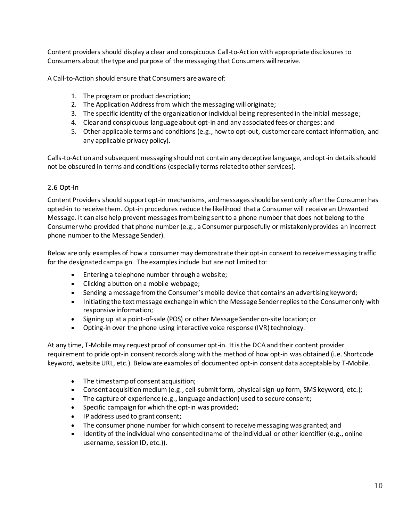Content providers should display a clear and conspicuous Call-to-Action with appropriate disclosures to Consumers about the type and purpose of the messaging that Consumers will receive.

A Call-to-Action should ensure that Consumers are aware of:

- 1. The program or product description;
- 2. The Application Address from which the messaging will originate;
- 3. The specific identity of the organization or individual being represented in the initial message;
- 4. Clear and conspicuous language about opt-in and any associated fees or charges; and
- 5. Other applicable terms and conditions (e.g., how to opt-out, customer care contact information, and any applicable privacy policy).

Calls-to-Action and subsequent messaging should not contain any deceptive language, and opt-in details should not be obscured in terms and conditions (especially terms related to other services).

### <span id="page-9-0"></span>2.6 Opt-In

Content Providers should support opt-in mechanisms, and messages should be sent only after the Consumer has opted-in to receive them. Opt-in procedures reduce the likelihood that a Consumer will receive an Unwanted Message. It can also help prevent messages from being sent to a phone number that does not belong to the Consumer who provided that phone number (e.g., a Consumer purposefully or mistakenly provides an incorrect phone number to the Message Sender).

Below are only examples of how a consumer may demonstrate their opt-in consent to receive messaging traffic for the designated campaign. The examples include but are not limited to:

- Entering a telephone number through a website;
- Clicking a button on a mobile webpage;
- Sending a message from the Consumer's mobile device that contains an advertising keyword;
- Initiating the text message exchange in which the Message Sender replies to the Consumer only with responsive information;
- Signing up at a point-of-sale (POS) or other Message Sender on-site location; or
- Opting-in over the phone using interactive voice response (IVR) technology.

At any time, T-Mobile may request proof of consumer opt-in. It is the DCA and their content provider requirement to pride opt-in consent records along with the method of how opt-in was obtained (i.e. Shortcode keyword, website URL, etc.). Below are examples of documented opt-in consent data acceptable by T-Mobile.

- The timestamp of consent acquisition;
- Consent acquisition medium (e.g., cell-submit form, physical sign-up form, SMS keyword, etc.);
- The capture of experience (e.g., language and action) used to secure consent;
- Specific campaign for which the opt-in was provided;
- IP address used to grant consent;
- The consumer phone number for which consent to receive messaging was granted; and
- Identity of the individual who consented (name of the individual or other identifier (e.g., online username, session ID, etc.)).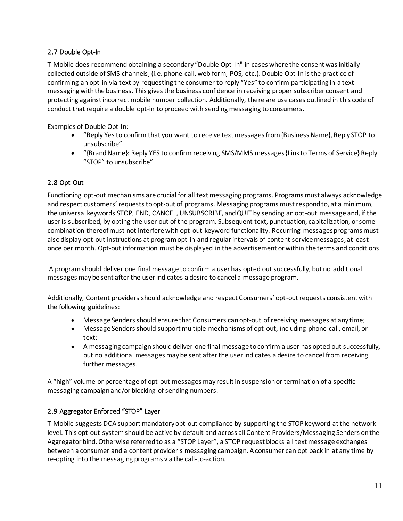# <span id="page-10-0"></span>2.7 Double Opt-In

T-Mobile does recommend obtaining a secondary "Double Opt-In" in cases where the consent was initially collected outside of SMS channels, (i.e. phone call, web form, POS, etc.). Double Opt-In is the practice of confirming an opt-in via text by requesting the consumer to reply "Yes" to confirm participating in a text messaging with the business. This gives the business confidence in receiving proper subscriber consent and protecting against incorrect mobile number collection. Additionally, there are use cases outlined in this code of conduct that require a double opt-in to proceed with sending messaging to consumers.

Examples of Double Opt-In:

- "Reply Yes to confirm that you want to receive text messages from {Business Name}, Reply STOP to unsubscribe"
- "{Brand Name}: Reply YES to confirm receiving SMS/MMS messages {Link to Terms of Service} Reply "STOP" to unsubscribe"

# <span id="page-10-1"></span>2.8 Opt-Out

Functioning opt-out mechanisms are crucial for all text messaging programs. Programs must always acknowledge and respect customers' requests to opt-out of programs. Messaging programs must respond to, at a minimum, the universal keywords STOP, END, CANCEL, UNSUBSCRIBE, and QUIT by sending an opt-out message and, if the user is subscribed, by opting the user out of the program. Subsequent text, punctuation, capitalization, or some combination thereof must not interfere with opt-out keyword functionality. Recurring-messages programs must also display opt-out instructions at program opt-in and regular intervals of content service messages, at least once per month. Opt-out information must be displayed in the advertisement or within the terms and conditions.

 A program should deliver one final message to confirm a user has opted out successfully, but no additional messages may be sent after the user indicates a desire to cancel a message program.

Additionally, Content providers should acknowledge and respect Consumers' opt-out requests consistent with the following guidelines:

- Message Senders should ensure that Consumers can opt-out of receiving messages at any time;
- Message Senders should support multiple mechanisms of opt-out, including phone call, email, or text;
- A messaging campaign should deliver one final message to confirm a user has opted out successfully, but no additional messages may be sent after the user indicates a desire to cancel from receiving further messages.

A "high" volume or percentage of opt-out messages may result in suspension or termination of a specific messaging campaign and/or blocking of sending numbers.

# <span id="page-10-2"></span>2.9 Aggregator Enforced "STOP" Layer

T-Mobile suggests DCA support mandatory opt-out compliance by supporting the STOP keyword at the network level. This opt-out system should be active by default and across all Content Providers/Messaging Senders on the Aggregator bind. Otherwise referred to as a "STOP Layer", a STOP request blocks all text message exchanges between a consumer and a content provider's messaging campaign. A consumer can opt back in at any time by re-opting into the messaging programs via the call-to-action.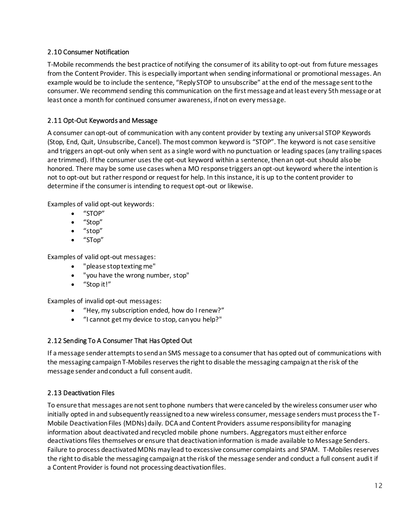### <span id="page-11-0"></span>2.10 Consumer Notification

T-Mobile recommends the best practice of notifying the consumer of its ability to opt-out from future messages from the Content Provider. This is especially important when sending informational or promotional messages. An example would be to include the sentence, "Reply STOP to unsubscribe" at the end of the message sent to the consumer. We recommend sending this communication on the first message and at least every 5th message or at least once a month for continued consumer awareness, if not on every message.

### <span id="page-11-1"></span>2.11 Opt-Out Keywords and Message

A consumer can opt-out of communication with any content provider by texting any universal STOP Keywords (Stop, End, Quit, Unsubscribe, Cancel). The most common keyword is "STOP". The keyword is not case sensitive and triggers an opt-out only when sent as a single word with no punctuation or leading spaces (any trailing spaces are trimmed). If the consumer uses the opt-out keyword within a sentence, then an opt-out should also be honored. There may be some use cases when a MO response triggers an opt-out keyword where the intention is not to opt-out but rather respond or request for help. In this instance, it is up to the content provider to determine if the consumer is intending to request opt-out or likewise.

Examples of valid opt-out keywords:

- "STOP"
- "Stop"
- "stop"
- "STop"

Examples of valid opt-out messages:

- "please stop texting me"
- "you have the wrong number, stop"
- "Stop it!"

Examples of invalid opt-out messages:

- "Hey, my subscription ended, how do I renew?"
- "I cannot get my device to stop, can you help?"

# <span id="page-11-2"></span>2.12 Sending To A Consumer That Has Opted Out

If a message sender attempts to send an SMS message to a consumer that has opted out of communications with the messaging campaign T-Mobiles reserves the right to disable the messaging campaign at the risk of the message sender and conduct a full consent audit.

# <span id="page-11-3"></span>2.13 Deactivation Files

To ensure that messages are not sent to phone numbers that were canceled by the wireless consumer user who initially opted in and subsequently reassigned to a new wireless consumer, message senders must process the T-Mobile Deactivation Files (MDNs) daily. DCA and Content Providers assume responsibility for managing information about deactivated and recycled mobile phone numbers. Aggregators must either enforce deactivations files themselves or ensure that deactivation information is made available to Message Senders. Failure to process deactivated MDNs may lead to excessive consumer complaints and SPAM. T-Mobiles reserves the right to disable the messaging campaign at the risk of the message sender and conduct a full consent audit if a Content Provider is found not processing deactivation files.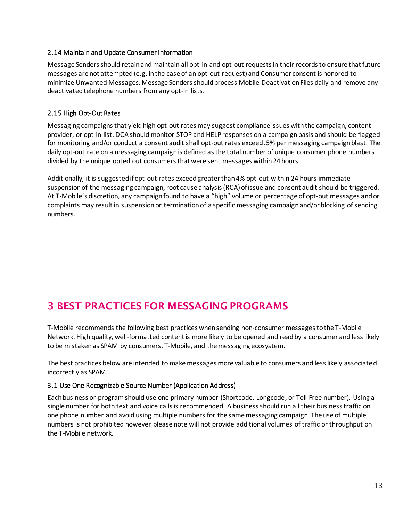#### <span id="page-12-0"></span>2.14 Maintain and Update Consumer Information

Message Senders should retain and maintain all opt-in and opt-out requests in their records to ensure that future messages are not attempted (e.g. in the case of an opt-out request) and Consumer consent is honored to minimize Unwanted Messages. Message Senders should process Mobile Deactivation Files daily and remove any deactivated telephone numbers from any opt-in lists.

## <span id="page-12-1"></span>2.15 High Opt-Out Rates

Messaging campaigns that yield high opt-out rates may suggest compliance issues with the campaign, content provider, or opt-in list. DCA should monitor STOP and HELP responses on a campaign basis and should be flagged for monitoring and/or conduct a consent audit shall opt-out rates exceed .5% per messaging campaign blast. The daily opt-out rate on a messaging campaign is defined as the total number of unique consumer phone numbers divided by the unique opted out consumers that were sent messages within 24 hours.

Additionally, it is suggested if opt-out rates exceed greater than 4% opt-out within 24 hours immediate suspension of the messaging campaign, root cause analysis (RCA) of issue and consent audit should be triggered. At T-Mobile's discretion, any campaign found to have a "high" volume or percentage of opt-out messages and or complaints may result in suspension or termination of a specific messaging campaign and/or blocking of sending numbers.

# <span id="page-12-2"></span>3 BEST PRACTICES FOR MESSAGING PROGRAMS

T-Mobile recommends the following best practices when sending non-consumer messages to the T-Mobile Network. High quality, well-formatted content is more likely to be opened and read by a consumer and less likely to be mistaken as SPAM by consumers, T-Mobile, and the messaging ecosystem.

The best practices below are intended to make messages more valuable to consumers and less likely associated incorrectly as SPAM.

#### <span id="page-12-3"></span>3.1 Use One Recognizable Source Number (Application Address)

Each business or program should use one primary number (Shortcode, Longcode, or Toll-Free number). Using a single number for both text and voice calls is recommended. A business should run all their business traffic on one phone number and avoid using multiple numbers for the same messaging campaign. The use of multiple numbers is not prohibited however please note will not provide additional volumes of traffic or throughput on the T-Mobile network.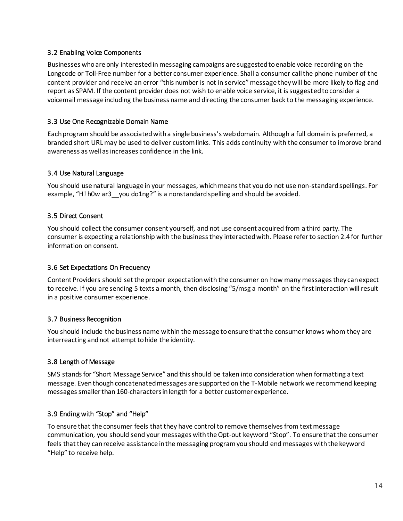#### <span id="page-13-0"></span>3.2 Enabling Voice Components

Businesses who are only interested in messaging campaigns are suggested to enable voice recording on the Longcode or Toll-Free number for a better consumer experience. Shall a consumer call the phone number of the content provider and receive an error "this number is not in service" message they will be more likely to flag and report as SPAM. If the content provider does not wish to enable voice service, it is suggested to consider a voicemail message including the business name and directing the consumer back to the messaging experience.

## <span id="page-13-1"></span>3.3 Use One Recognizable Domain Name

Each program should be associated with a single business's web domain. Although a full domain is preferred, a branded short URL may be used to deliver custom links. This adds continuity with the consumer to improve brand awareness as well as increases confidence in the link.

### <span id="page-13-2"></span>3.4 Use Natural Language

You should use natural language in your messages, which means that you do not use non-standard spellings. For example, "H! h0w ar3 you do1ng?" is a nonstandard spelling and should be avoided.

#### <span id="page-13-3"></span>3.5 Direct Consent

You should collect the consumer consent yourself, and not use consent acquired from a third party. The consumer is expecting a relationship with the business they interacted with. Please refer to section 2.4 for further information on consent.

#### <span id="page-13-4"></span>3.6 Set Expectations On Frequency

Content Providers should set the proper expectation with the consumer on how many messages they can expect to receive. If you are sending 5 texts a month, then disclosing "5/msg a month" on the first interaction will result in a positive consumer experience.

#### <span id="page-13-5"></span>3.7 Business Recognition

You should include the business name within the message to ensure that the consumer knows whom they are interreacting and not attempt to hide the identity.

# <span id="page-13-6"></span>3.8 Length of Message

SMS stands for "Short Message Service" and this should be taken into consideration when formatting a text message. Even though concatenated messages are supported on the T-Mobile network we recommend keeping messages smaller than 160-characters in length for a better customer experience.

# <span id="page-13-7"></span>3.9 Ending with "Stop" and "Help"

To ensure that the consumer feels that they have control to remove themselves from text message communication, you should send your messages with the Opt-out keyword "Stop". To ensure that the consumer feels that they can receive assistance in the messaging program you should end messages with the keyword "Help" to receive help.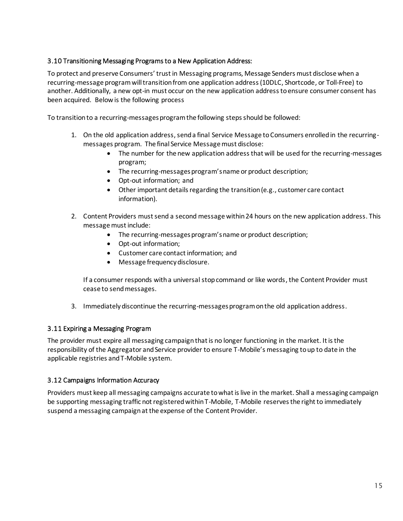## <span id="page-14-0"></span>3.10 Transitioning Messaging Programs to a New Application Address:

To protect and preserve Consumers' trust in Messaging programs, Message Senders must disclose when a recurring-message program will transition from one application address (10DLC, Shortcode, or Toll-Free) to another. Additionally, a new opt-in must occur on the new application address to ensure consumer consent has been acquired. Below is the following process

To transition to a recurring-messages program the following steps should be followed:

- 1. On the old application address, send a final Service Message to Consumers enrolled in the recurringmessages program. The final Service Message must disclose:
	- The number for the new application address that will be used for the recurring-messages program;
	- The recurring-messages program's name or product description;
	- Opt-out information; and
	- Other important details regarding the transition (e.g., customer care contact information).
- 2. Content Providers must send a second message within 24 hours on the new application address. This message must include:
	- The recurring-messages program's name or product description;
	- Opt-out information;
	- Customer care contact information; and
	- Message frequency disclosure.

If a consumer responds with a universal stop command or like words, the Content Provider must cease to send messages.

3. Immediately discontinue the recurring-messages program on the old application address.

#### <span id="page-14-1"></span>3.11 Expiring a Messaging Program

The provider must expire all messaging campaign that is no longer functioning in the market. It is the responsibility of the Aggregator and Service provider to ensure T-Mobile's messaging to up to date in the applicable registries and T-Mobile system.

#### <span id="page-14-2"></span>3.12 Campaigns Information Accuracy

Providers must keep all messaging campaigns accurate to what is live in the market. Shall a messaging campaign be supporting messaging traffic not registered within T-Mobile, T-Mobile reserves the right to immediately suspend a messaging campaign at the expense of the Content Provider.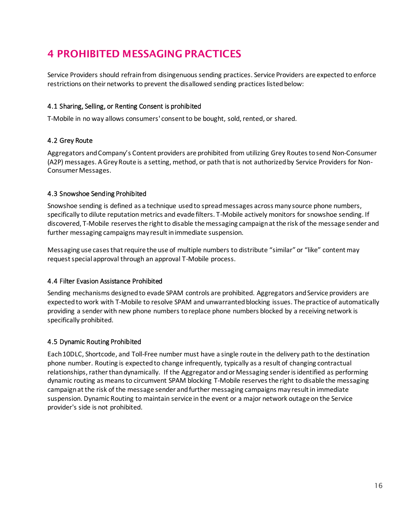# <span id="page-15-0"></span>4 PROHIBITED MESSAGING PRACTICES

Service Providers should refrain from disingenuous sending practices. Service Providers are expected to enforce restrictions on their networks to prevent the disallowed sending practices listed below:

## <span id="page-15-1"></span>4.1 Sharing, Selling, or Renting Consent is prohibited

T-Mobile in no way allows consumers' consent to be bought, sold, rented, or shared.

### <span id="page-15-2"></span>4.2 Grey Route

Aggregators and Company's Content providers are prohibited from utilizing Grey Routes to send Non-Consumer (A2P) messages. A Grey Route is a setting, method, or path that is not authorized by Service Providers for Non-Consumer Messages.

### <span id="page-15-3"></span>4.3 Snowshoe Sending Prohibited

Snowshoe sending is defined as a technique used to spread messages across many source phone numbers, specifically to dilute reputation metrics and evade filters. T-Mobile actively monitors for snowshoe sending. If discovered, T-Mobile reserves the right to disable the messaging campaign at the risk of the message sender and further messaging campaigns may result in immediate suspension.

Messaging use cases that require the use of multiple numbers to distribute "similar" or "like" content may request special approval through an approval T-Mobile process.

#### <span id="page-15-4"></span>4.4 Filter Evasion Assistance Prohibited

Sending mechanisms designed to evade SPAM controls are prohibited. Aggregators and Service providers are expected to work with T-Mobile to resolve SPAM and unwarranted blocking issues. The practice of automatically providing a sender with new phone numbers to replace phone numbers blocked by a receiving network is specifically prohibited.

#### <span id="page-15-5"></span>4.5 Dynamic Routing Prohibited

Each 10DLC, Shortcode, and Toll-Free number must have a single route in the delivery path to the destination phone number. Routing is expected to change infrequently, typically as a result of changing contractual relationships, rather than dynamically. If the Aggregator and or Messaging sender is identified as performing dynamic routing as means to circumvent SPAM blocking T-Mobile reserves the right to disable the messaging campaign at the risk of the message sender and further messaging campaigns may result in immediate suspension. Dynamic Routing to maintain service in the event or a major network outage on the Service provider's side is not prohibited.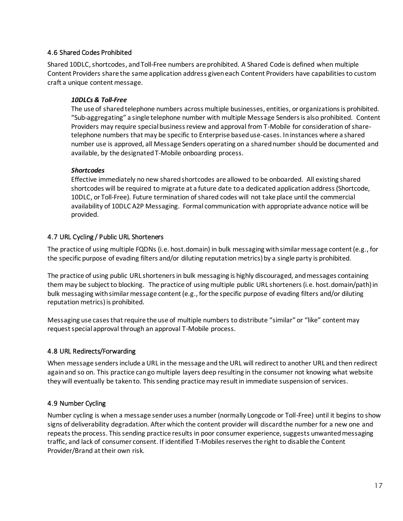#### <span id="page-16-0"></span>4.6 Shared Codes Prohibited

Shared 10DLC, shortcodes, and Toll-Free numbers are prohibited. A Shared Code is defined when multiple Content Providers share the same application address given each Content Providers have capabilities to custom craft a unique content message.

#### *10DLCs & Toll-Free*

The use of shared telephone numbers across multiple businesses, entities, or organizations is prohibited. "Sub-aggregating" a single telephone number with multiple Message Senders is also prohibited. Content Providers may require special business review and approval from T-Mobile for consideration of sharetelephone numbers that may be specific to Enterprise based use-cases. In instances where a shared number use is approved, all Message Senders operating on a shared number should be documented and available, by the designated T-Mobile onboarding process.

#### *Shortcodes*

Effective immediately no new shared shortcodes are allowed to be onboarded. All existing shared shortcodes will be required to migrate at a future date to a dedicated application address (Shortcode, 10DLC, or Toll-Free). Future termination of shared codes will not take place until the commercial availability of 10DLC A2P Messaging. Formal communication with appropriate advance notice will be provided.

# <span id="page-16-1"></span>4.7 URL Cycling / Public URL Shorteners

The practice of using multiple FQDNs (i.e. host.domain) in bulk messaging with similar message content (e.g., for the specific purpose of evading filters and/or diluting reputation metrics) by a single party is prohibited.

The practice of using public URL shorteners in bulk messaging is highly discouraged, and messages containing them may be subject to blocking. The practice of using multiple public URL shorteners (i.e. host.domain/path) in bulk messaging with similar message content (e.g., for the specific purpose of evading filters and/or diluting reputation metrics) is prohibited.

Messaging use cases that require the use of multiple numbers to distribute "similar" or "like" content may request special approval through an approval T-Mobile process.

# <span id="page-16-2"></span>4.8 URL Redirects/Forwarding

When message senders include a URL in the message and the URL will redirect to another URL and then redirect again and so on. This practice can go multiple layers deep resulting in the consumer not knowing what website they will eventually be taken to. This sending practice may result in immediate suspension of services.

# <span id="page-16-3"></span>4.9 Number Cycling

Number cycling is when a message sender uses a number (normally Longcode or Toll-Free) until it begins to show signs of deliverability degradation. After which the content provider will discard the number for a new one and repeats the process. This sending practice results in poor consumer experience, suggests unwanted messaging traffic, and lack of consumer consent. If identified T-Mobiles reserves the right to disable the Content Provider/Brand at their own risk.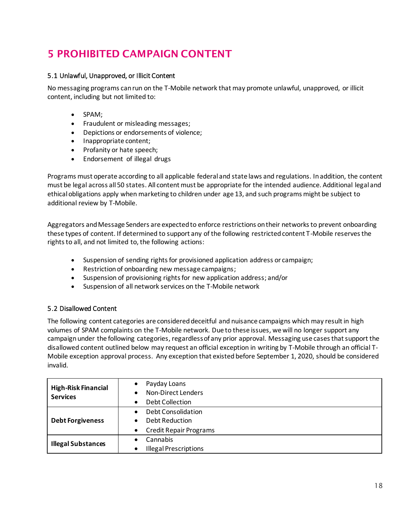# <span id="page-17-0"></span>5 PROHIBITED CAMPAIGN CONTENT

### <span id="page-17-1"></span>5.1 Unlawful, Unapproved, or Illicit Content

No messaging programs can run on the T-Mobile network that may promote unlawful, unapproved, or illicit content, including but not limited to:

- SPAM;
- Fraudulent or misleading messages;
- Depictions or endorsements of violence;
- Inappropriate content;
- Profanity or hate speech;
- Endorsement of illegal drugs

Programs must operate according to all applicable federal and state laws and regulations. In addition, the content must be legal across all 50 states. All content must be appropriate for the intended audience. Additional legal and ethical obligations apply when marketing to children under age 13, and such programs might be subject to additional review by T-Mobile.

Aggregators and Message Senders are expected to enforce restrictions on their networks to prevent onboarding these types of content. If determined to support any of the following restricted content T-Mobile reserves the rights to all, and not limited to, the following actions:

- Suspension of sending rights for provisioned application address or campaign;
- Restriction of onboarding new message campaigns;
- Suspension of provisioning rights for new application address; and/or
- Suspension of all network services on the T-Mobile network

# <span id="page-17-2"></span>5.2 Disallowed Content

The following content categories are considered deceitful and nuisance campaigns which may result in high volumes of SPAM complaints on the T-Mobile network. Due to these issues, we will no longer support any campaign under the following categories, regardless of any prior approval. Messaging use cases that support the disallowed content outlined below may request an official exception in writing by T-Mobile through an official T-Mobile exception approval process. Any exception that existed before September 1, 2020, should be considered invalid.

| <b>High-Risk Financial</b><br><b>Services</b> | Payday Loans<br>٠                          |
|-----------------------------------------------|--------------------------------------------|
|                                               | <b>Non-Direct Lenders</b><br>$\bullet$     |
|                                               | <b>Debt Collection</b><br>$\bullet$        |
| <b>Debt Forgiveness</b>                       | Debt Consolidation<br>$\bullet$            |
|                                               | Debt Reduction<br>$\bullet$                |
|                                               | <b>Credit Repair Programs</b><br>$\bullet$ |
| <b>Illegal Substances</b>                     | Cannabis<br>$\bullet$                      |
|                                               | <b>Illegal Prescriptions</b><br>$\bullet$  |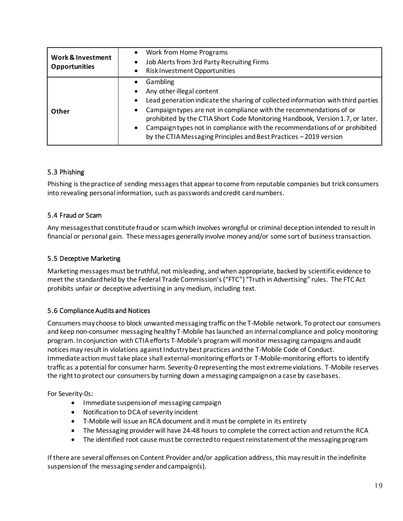| <b>Work &amp; Investment</b><br><b>Opportunities</b> | Work from Home Programs<br>$\bullet$<br>Job Alerts from 3rd Party Recruiting Firms<br>Risk Investment Opportunities<br>٠                                                                                                                                                                                                                                                                                                                                        |
|------------------------------------------------------|-----------------------------------------------------------------------------------------------------------------------------------------------------------------------------------------------------------------------------------------------------------------------------------------------------------------------------------------------------------------------------------------------------------------------------------------------------------------|
| Other                                                | Gambling<br>Any other illegal content<br>Lead generation indicate the sharing of collected information with third parties<br>Campaign types are not in compliance with the recommendations of or<br>$\bullet$<br>prohibited by the CTIA Short Code Monitoring Handbook, Version 1.7, or later.<br>Campaign types not in compliance with the recommendations of or prohibited<br>$\bullet$<br>by the CTIA Messaging Principles and Best Practices - 2019 version |

# <span id="page-18-0"></span>5.3 Phishing

Phishing is the practice of sending messages that appear to come from reputable companies but trick consumers into revealing personal information, such as passwords and credit card numbers.

### <span id="page-18-1"></span>5.4 Fraud or Scam

Any messages that constitute fraud or scam which involves wrongful or criminal deception intended to result in financial or personal gain. These messages generally involve money and/or some sort of business transaction.

### <span id="page-18-2"></span>5.5 Deceptive Marketing

Marketing messages must be truthful, not misleading, and when appropriate, backed by scientific evidence to meet the standard held by the Federal Trade Commission's ("FTC") "Truth in Advertising" rules. The FTC Act prohibits unfair or deceptive advertising in any medium, including text.

#### <span id="page-18-3"></span>5.6 Compliance Audits and Notices

Consumers may choose to block unwanted messaging traffic on the T-Mobile network. To protect our consumers and keep non-consumer messaging healthy T-Mobile has launched an internal compliance and policy monitoring program. In conjunction with CTIA efforts T-Mobile's program will monitor messaging campaigns and audit notices may result in violations against Industry best practices and the T-Mobile Code of Conduct. Immediate action must take place shall external-monitoring efforts or T-Mobile-monitoring efforts to identify traffic as a potential for consumer harm. Severity-0 representing the most extreme violations. T-Mobile reserves the right to protect our consumers by turning down a messaging campaign on a case by case bases.

For Severity-0s:

- Immediate suspension of messaging campaign
- Notification to DCA of severity incident
- T-Mobile will issue an RCA document and it must be complete in its entirety
- The Messaging provider will have 24-48 hours to complete the correct action and return the RCA
- The identified root cause must be corrected to request reinstatement of the messaging program

If there are several offenses on Content Provider and/or application address, this may result in the indefinite suspension of the messaging sender and campaign(s).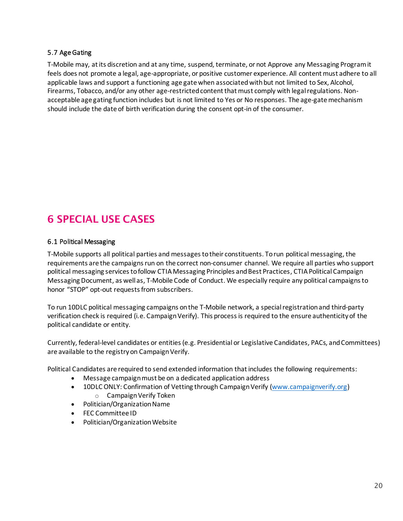#### <span id="page-19-0"></span>5.7 Age Gating

T-Mobile may, at its discretion and at any time, suspend, terminate, or not Approve any Messaging Program it feels does not promote a legal, age-appropriate, or positive customer experience. All content must adhere to all applicable laws and support a functioning age gate when associated with but not limited to Sex, Alcohol, Firearms, Tobacco, and/or any other age-restricted content that must comply with legal regulations. Nonacceptable age gating function includes but is not limited to Yes or No responses. The age-gate mechanism should include the date of birth verification during the consent opt-in of the consumer.

# <span id="page-19-1"></span>6 SPECIAL USE CASES

#### <span id="page-19-2"></span>6.1 Political Messaging

T-Mobile supports all political parties and messages to their constituents. To run political messaging, the requirements are the campaigns run on the correct non-consumer channel. We require all parties who support political messaging services to follow CTIA Messaging Principles and Best Practices, CTIA Political Campaign Messaging Document, as well as, T-Mobile Code of Conduct. We especially require any political campaigns to honor "STOP" opt-out requests from subscribers.

To run 10DLC political messaging campaigns on the T-Mobile network, a special registration and third-party verification check is required (i.e. Campaign Verify). This process is required to the ensure authenticity of the political candidate or entity.

Currently, federal-level candidates or entities (e.g. Presidential or Legislative Candidates, PACs, and Committees) are available to the registry on Campaign Verify.

Political Candidates are required to send extended information that includes the following requirements:

- Message campaign must be on a dedicated application address
- 10DLC ONLY: Confirmation of Vetting through Campaign Verify [\(www.campaignverify.org](http://www.campaignverify.org/)) o Campaign Verify Token
- Politician/Organization Name
- [FEC Committee ID](https://nam02.safelinks.protection.outlook.com/?url=http%3A%2F%2Ffec.gov%2F&data=02%7C01%7CKara.Lihosit%40T-Mobile.com%7C0e770e7144ae48e184fb08d7a5b9394f%7Cbe0f980bdd994b19bd7bbc71a09b026c%7C0%7C0%7C637160087251771869&sdata=dcn1wqloJic57zI%2Bgumr4nLiM9kdfpc0Ixt6qVQgX3k%3D&reserved=0)
- Politician/Organization Website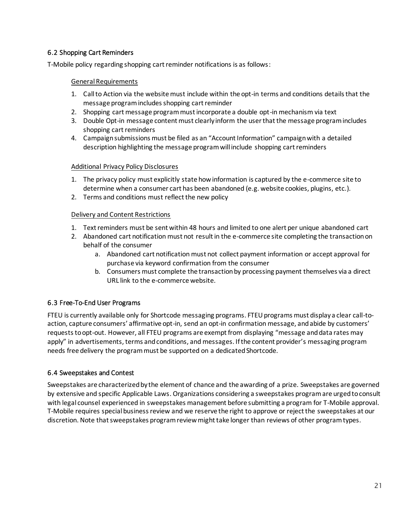### <span id="page-20-0"></span>6.2 Shopping Cart Reminders

T-Mobile policy regarding shopping cart reminder notifications is as follows:

#### General Requirements

- 1. Call to Action via the website must include within the opt-in terms and conditions details that the message program includes shopping cart reminder
- 2. Shopping cart message program must incorporate a double opt-in mechanism via text
- 3. Double Opt-in message content must clearly inform the user that the message program includes shopping cart reminders
- 4. Campaign submissions must be filed as an "Account Information" campaign with a detailed description highlighting the message program will include shopping cart reminders

#### Additional Privacy Policy Disclosures

- 1. The privacy policy must explicitly state how information is captured by the e-commerce site to determine when a consumer cart has been abandoned (e.g. website cookies, plugins, etc.).
- 2. Terms and conditions must reflect the new policy

#### Delivery and Content Restrictions

- 1. Text reminders must be sent within 48 hours and limited to one alert per unique abandoned cart
- 2. Abandoned cart notification must not result in the e-commerce site completing the transaction on behalf of the consumer
	- a. Abandoned cart notification must not collect payment information or accept approval for purchase via keyword confirmation from the consumer
	- b. Consumers must complete the transaction by processing payment themselves via a direct URL link to the e-commerce website.

#### <span id="page-20-1"></span>6.3 Free-To-End User Programs

FTEU is currently available only for Shortcode messaging programs. FTEU programs must display a clear call-toaction, capture consumers' affirmative opt-in, send an opt-in confirmation message, and abide by customers' requests to opt-out. However, all FTEU programs are exempt from displaying "message and data rates may apply" in advertisements, terms and conditions, and messages. If the content provider's messaging program needs free delivery the program must be supported on a dedicated Shortcode.

#### <span id="page-20-2"></span>6.4 Sweepstakes and Contest

Sweepstakes are characterized by the element of chance and the awarding of a prize. Sweepstakes are governed by extensive and specific Applicable Laws. Organizations considering a sweepstakes program are urged to consult with legal counsel experienced in sweepstakes management before submitting a program for T-Mobile approval. T-Mobile requires special business review and we reserve the right to approve or reject the sweepstakes at our discretion. Note that sweepstakes program review might take longer than reviews of other program types.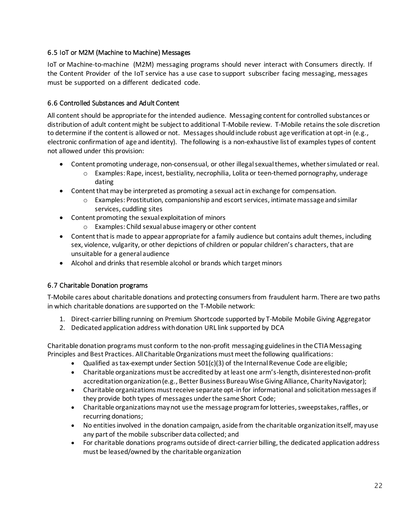### <span id="page-21-0"></span>6.5 IoT or M2M (Machine to Machine) Messages

IoT or Machine-to-machine (M2M) messaging programs should never interact with Consumers directly. If the Content Provider of the IoT service has a use case to support subscriber facing messaging, messages must be supported on a different dedicated code.

### <span id="page-21-1"></span>6.6 Controlled Substances and Adult Content

All content should be appropriate for the intended audience. Messaging content for controlled substances or distribution of adult content might be subject to additional T-Mobile review. T-Mobile retains the sole discretion to determine if the content is allowed or not. Messages should include robust age verification at opt-in (e.g., electronic confirmation of age and identity). The following is a non-exhaustive list of examples types of content not allowed under this provision:

- Content promoting underage, non-consensual, or other illegal sexual themes, whether simulated or real.
	- o Examples: Rape, incest, bestiality, necrophilia, Lolita or teen-themed pornography, underage dating
- Content that may be interpreted as promoting a sexual act in exchange for compensation.
	- o Examples: Prostitution, companionship and escort services, intimate massage and similar services, cuddling sites
- Content promoting the sexual exploitation of minors
	- o Examples: Child sexual abuse imagery or other content
- Content that is made to appear appropriate for a family audience but contains adult themes, including sex, violence, vulgarity, or other depictions of children or popular children's characters, that are unsuitable for a general audience
- Alcohol and drinks that resemble alcohol or brands which target minors

#### <span id="page-21-2"></span>6.7 Charitable Donation programs

T-Mobile cares about charitable donations and protecting consumers from fraudulent harm. There are two paths in which charitable donations are supported on the T-Mobile network:

- 1. Direct-carrier billing running on Premium Shortcode supported by T-Mobile Mobile Giving Aggregator
- 2. Dedicated application address with donation URL link supported by DCA

Charitable donation programs must conform to the non-profit messaging guidelines in the CTIA Messaging Principles and Best Practices. All Charitable Organizations must meet the following qualifications:

- Qualified as tax-exempt under Section 501(c)(3) of the Internal Revenue Code are eligible;
- Charitable organizations must be accredited by at least one arm's-length, disinterested non-profit accreditation organization (e.g., Better Business Bureau Wise Giving Alliance, Charity Navigator);
- Charitable organizations must receive separate opt-in for informational and solicitation messages if they provide both types of messages under the same Short Code;
- Charitable organizations may not use the message program for lotteries, sweepstakes, raffles, or recurring donations;
- No entities involved in the donation campaign, aside from the charitable organization itself, may use any part of the mobile subscriber data collected; and
- For charitable donations programs outside of direct-carrier billing, the dedicated application address must be leased/owned by the charitable organization